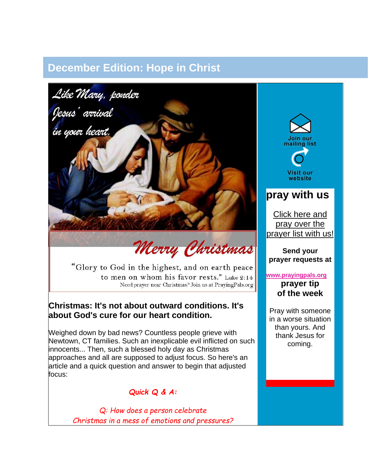## **December Edition: Hope in Christ**



# Merry Christmas

"Glory to God in the highest, and on earth peace to men on whom his favor rests." Luke 2:14 Need prayer near Christmas? Join us at PrayingPals.org

#### **Christmas: It's not about outward conditions. It's about God's cure for our heart condition.**

Weighed down by bad news? Countless people grieve with Newtown, CT families. Such an inexplicable evil inflicted on such innocents... Then, such a blessed holy day as Christmas approaches and all are supposed to adjust focus. So here's an article and a quick question and answer to begin that adjusted focus:

#### *Quick Q & A:*

*Q: How does a person celebrate Christmas in a mess of emotions and pressures?*



Visit our website

### **pray with us**

[Click here and](http://library.constantcontact.com/download/get/file/1102102920447-190/2012+Prayer+List+(Recovered+Version).pdf)  [pray over the](http://library.constantcontact.com/download/get/file/1102102920447-190/2012+Prayer+List+(Recovered+Version).pdf)  [prayer list with us!](http://library.constantcontact.com/download/get/file/1102102920447-190/2012+Prayer+List+(Recovered+Version).pdf)

**Send your prayer requests at**

#### **[www.prayingpals.org](http://www.prayingpals.org/home.html)**

**prayer tip of the week**

Pray with someone in a worse situation than yours. And thank Jesus for coming.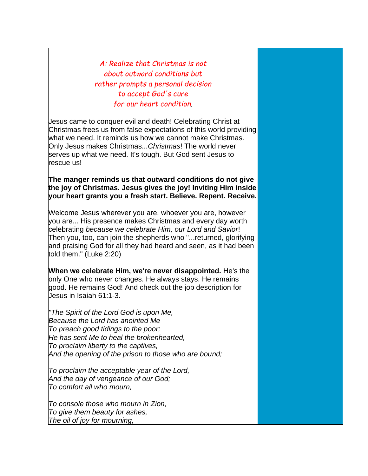*A: Realize that Christmas is not about outward conditions but rather prompts a personal decision to accept God's cure for our heart condition.*

Jesus came to conquer evil and death! Celebrating Christ at Christmas frees us from false expectations of this world providing what we need. It reminds us how we cannot make Christmas. Only Jesus makes Christmas...*Christmas*! The world never serves up what we need. It's tough. But God sent Jesus to rescue us!

**The manger reminds us that outward conditions do not give the joy of Christmas. Jesus gives the joy! Inviting Him inside your heart grants you a fresh start. Believe. Repent. Receive.**

Welcome Jesus wherever you are, whoever you are, however you are... His presence makes Christmas and every day worth celebrating *because we celebrate Him, our Lord and Savior*! Then you, too, can join the shepherds who "...returned, glorifying and praising God for all they had heard and seen, as it had been told them." (Luke 2:20)

**When we celebrate Him, we're never disappointed.** He's the only One who never changes. He always stays. He remains good. He remains God! And check out the job description for Jesus in Isaiah 61:1-3.

*"The Spirit of the Lord God is upon Me, Because the Lord has anointed Me To preach good tidings to the poor; He has sent Me to heal the brokenhearted, To proclaim liberty to the captives, And the opening of the prison to those who are bound;*

*To proclaim the acceptable year of the Lord, And the day of vengeance of our God; To comfort all who mourn,*

*To console those who mourn in Zion, To give them beauty for ashes, The oil of joy for mourning,*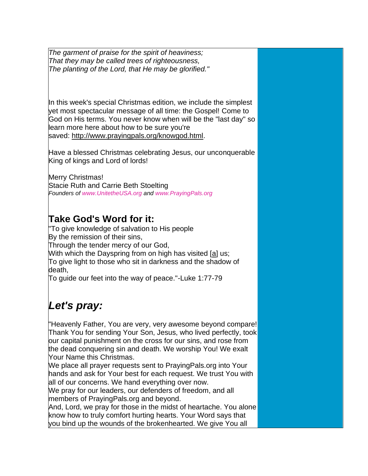*The garment of praise for the spirit of heaviness; That they may be called trees of righteousness, The planting of the Lord, that He may be glorified."*

In this week's special Christmas edition, we include the simplest yet most spectacular message of all time: the Gospel! Come to God on His terms. You never know when will be the "last day" so learn more here about how to be sure you're saved: [http://www.prayingpals.org/knowgod.html.](http://www.prayingpals.org/knowgod.html)

Have a blessed Christmas celebrating Jesus, our unconquerable King of kings and Lord of lords!

Merry Christmas! Stacie Ruth and Carrie Beth Stoelting *Founders of [www.UnitetheUSA.org](http://www.unitetheusa.org/) and [www.PrayingPals.org](http://www.prayingpals.org/)*

## **Take God's Word for it:**

"To give knowledge of salvation to His people By the remission of their sins, Through the tender mercy of our God, With which the Dayspring from on high has visited [\[a\]](http://unitetheusa.org/id87.html) us; To give light to those who sit in darkness and the shadow of death,

To guide our feet into the way of peace."-Luke 1:77-79

# *Let's pray:*

"Heavenly Father, You are very, very awesome beyond compare! Thank You for sending Your Son, Jesus, who lived perfectly, took our capital punishment on the cross for our sins, and rose from the dead conquering sin and death. We worship You! We exalt Your Name this Christmas.

We place all prayer requests sent to PrayingPals.org into Your hands and ask for Your best for each request. We trust You with all of our concerns. We hand everything over now.

We pray for our leaders, our defenders of freedom, and all members of PrayingPals.org and beyond.

And, Lord, we pray for those in the midst of heartache. You alone know how to truly comfort hurting hearts. Your Word says that you bind up the wounds of the brokenhearted. We give You all